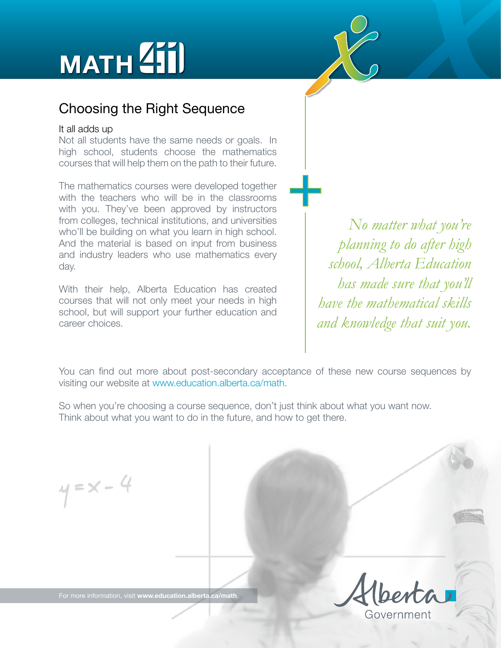



## Choosing the Right Sequence

## It all adds up

Not all students have the same needs or goals. In high school, students choose the mathematics courses that will help them on the path to their future.

The mathematics courses were developed together with the teachers who will be in the classrooms with you. They've been approved by instructors from colleges, technical institutions, and universities who'll be building on what you learn in high school. And the material is based on input from business and industry leaders who use mathematics every day.

With their help, Alberta Education has created courses that will not only meet your needs in high school, but will support your further education and career choices.

*No matter what you're planning to do after high school, Alberta Education has made sure that you'll have the mathematical skills and knowledge that suit you.*

You can find out more about post-secondary acceptance of these new course sequences by visiting our website at [www.education.alberta.ca/math.](http://education.alberta.ca/teachers/program/math.aspx)

 $\frac{1}{\sqrt{2}}$ 

So when you're choosing a course sequence, don't just think about what you want now. Think about what you want to do in the future, and how to get there.

 $y = x - 4$ 

For more information, visit **[www.education.alberta.ca/math](http://education.alberta.ca/teachers/program/math.aspx)**.